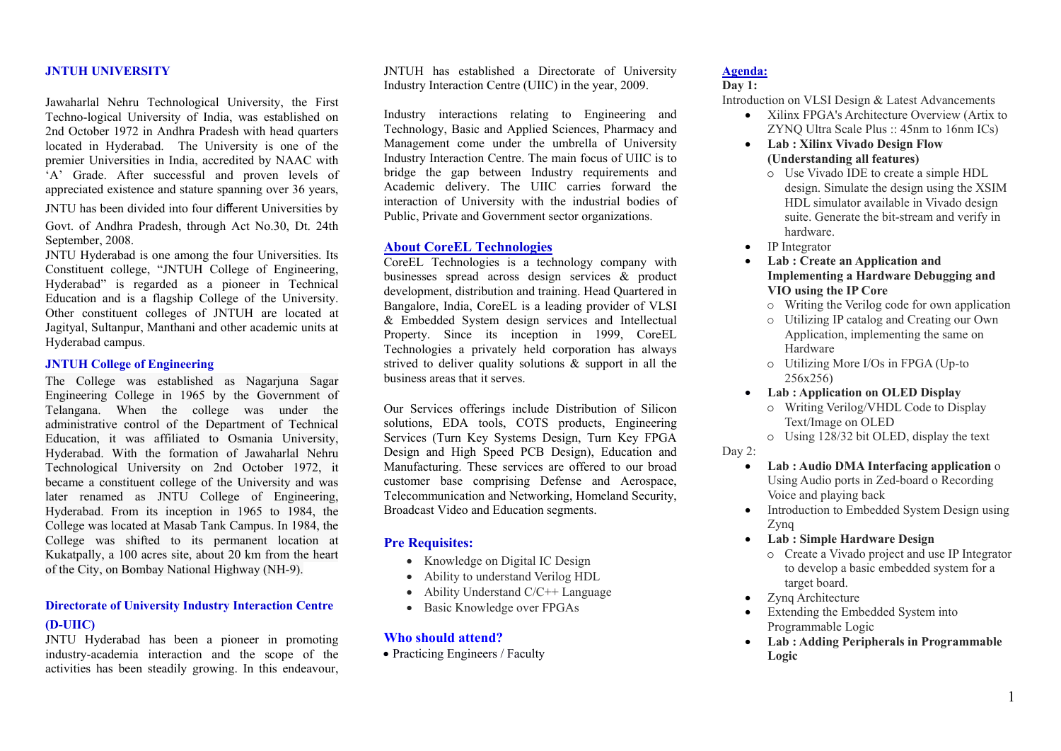#### **JNTUH UNIVERSITY**

Jawaharlal Nehru Technological University, the First Techno-logical University of India, was established on 2nd October 1972 in Andhra Pradesh with head quarters located in Hyderabad. The University is one of the premier Universities in India, accredited by NAAC with 'A' Grade. After successful and proven levels of appreciated existence and stature spanning over 36 years,

JNTU has been divided into four di fferent Universities by Govt. of Andhra Pradesh, through Act No.30, Dt. 24th September, 2008.

JNTU Hyderabad is one among the four Universities. Its Constituent college, "JNTUH College of Engineering, Hyderabad" is regarded as a pioneer in Technical Education and is a flagship College of the University. Other constituent colleges of JNTUH are located at Jagityal, Sultanpur, Manthani and other academic units at Hyderabad campus.

#### **JNTUH College of Engineering**

The College was established as Nagarjuna Sagar Engineering College in 1965 by the Government of Telangana. When the college was under the administrative control of the Department of Technical Education, it was affiliated to Osmania University, Hyderabad. With the formation of Jawaharlal Nehru Technological University on 2nd October 1972, it became a constituent college of the University and was later renamed as JNTU College of Engineering, Hyderabad. From its inception in 1965 to 1984, the College was located at Masab Tank Campus. In 1984, the College was shifted to its permanent location at Kukatpally, a 100 acres site, about 20 km from the heart of the City, on Bombay National Highway (NH-9).

## **Directorate of University Industry Interaction Centre (D-UIIC)**

JNTU Hyderabad has been a pioneer in promoting industry-academia interaction and the scope of the activities has been steadily growing. In this endeavour, JNTUH has established a Directorate of University Industry Interaction Centre (UIIC) in the year, 2009.

Industry interactions relating to Engineering and Technology, Basic and Applied Sciences, Pharmacy and Management come under the umbrella of University Industry Interaction Centre. The main focus of UIIC is to bridge the gap between Industry requirements and Academic delivery. The UIIC carries forward the interaction of University with the industrial bodies of Public, Private and Government sector organizations.

#### **About CoreEL Technologies**

CoreEL Technologies is a technology company with businesses spread across design services & product development, distribution and training. Head Quartered in Bangalore, India, CoreEL is a leading provider of VLSI & Embedded System design services and Intellectual Property. Since its inception in 1999, CoreEL Technologies a privately held corporation has always strived to deliver quality solutions  $\&$  support in all the business areas that it serves.

Our Services offerings include Distribution of Silicon solutions, EDA tools, COTS products, Engineering Services (Turn Key Systems Design, Turn Key FPGA Design and High Speed PCB Design), Education and Manufacturing. These services are offered to our broad customer base comprising Defense and Aerospace, Telecommunication and Networking, Homeland Security, Broadcast Video and Education segments.

#### **Pre Requisites:**

- Knowledge on Digital IC Design
- Ability to understand Verilog HDL
- Ability Understand C/C++ Language
- Basic Knowledge over FPGAs

#### **Who should attend?**

• Practicing Engineers / Faculty

#### **Agenda:**

### **Day 1:**

Introduction on VLSI Design & Latest Advancements

- Xilinx FPGA's Architecture Overview (Artix to ZYNQ Ultra Scale Plus :: 45nm to 16nm ICs)
- **Lab : Xilinx Vivado Design Flow (Understanding all features)**
	- o Use Vivado IDE to create a simple HDL design. Simulate the design using the XSIM HDL simulator available in Vivado design suite. Generate the bit-stream and verify in hardware.
- IP Integrator
- e **Lab : Create an Application and Implementing a Hardware Debugging and VIO using the IP Core** 
	- o Writing the Verilog code for own application
	- o Utilizing IP catalog and Creating our Own Application, implementing the same on Hardware
	- o Utilizing More I/Os in FPGA (Up-to 256x256)
- **Lab : Application on OLED Display**
	- o Writing Verilog/VHDL Code to Display Text/Image on OLED

o Using 128/32 bit OLED, display the text

#### Day 2:

- **Lab : Audio DMA Interfacing application** <sup>o</sup> Using Audio ports in Zed-board o Recording Voice and playing back
- Introduction to Embedded System Design using Zynq
- **Lab : Simple Hardware Design**
	- o Create a Vivado project and use IP Integrator to develop a basic embedded system for a target board.
- ٠ Zynq Architecture
- ٠ Extending the Embedded System into Programmable Logic
- **Lab : Adding Peripherals in Programmable Logic**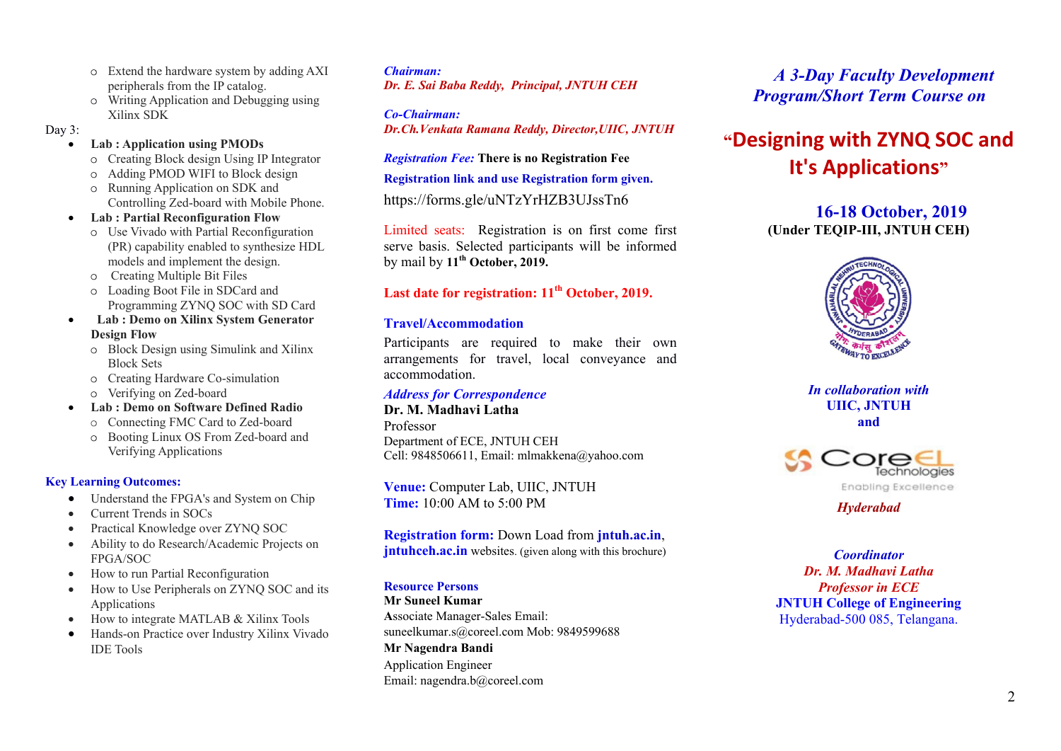- o Extend the hardware system by adding AXI peripherals from the IP catalog.
- o Writing Application and Debugging using Xilinx SDK

Day  $3$ :

- **Lab**: Application using PMODs
	- o Creating Block design Using IP Integrator
	- o Adding PMOD WIFI to Block design
	- o Running Application on SDK and Controlling Zed-board with Mobile Phone.
- Lab: Partial Reconfiguration Flow
	- o Use Vivado with Partial Reconfiguration (PR) capability enabled to synthesize HDL models and implement the design.
	- o Creating Multiple Bit Files
	- o Loading Boot File in SDCard and Programming ZYNO SOC with SD Card
- Lab : Demo on Xilinx System Generator **Design Flow** 
	- o Block Design using Simulink and Xilinx **Block Sets**
	- o Creating Hardware Co-simulation
	- o Verifying on Zed-board
- Lab: Demo on Software Defined Radio
- o Connecting FMC Card to Zed-board
- o Booting Linux OS From Zed-board and Verifying Applications

## **Key Learning Outcomes:**

- Understand the FPGA's and System on Chip  $\bullet$
- Current Trends in SOCs
- Practical Knowledge over ZYNQ SOC
- Ability to do Research/Academic Projects on **FPGA/SOC**
- How to run Partial Reconfiguration  $\bullet$
- How to Use Peripherals on ZYNO SOC and its Applications
- How to integrate MATLAB & Xilinx Tools
- Hands-on Practice over Industry Xilinx Vivado **IDE** Tools

## **Chairman:**

Dr. E. Sai Baba Reddy, Principal, JNTUH CEH

**Co-Chairman:** 

Dr.Ch. Venkata Ramana Reddy, Director, UIIC, JNTUH

## **Registration Fee: There is no Registration Fee**

## Registration link and use Registration form given.

https://forms.gle/uNTzYrHZB3UJssTn6

Limited seats: Registration is on first come first serve basis. Selected participants will be informed by mail by 11<sup>th</sup> October, 2019.

# Last date for registration: 11<sup>th</sup> October, 2019.

## **Travel/Accommodation**

Participants are required to make their own arrangements for travel, local conveyance and accommodation.

# **Address for Correspondence**

## Dr. M. Madhavi Latha

Professor Department of ECE, JNTUH CEH Cell: 9848506611, Email: mlmakkena@yahoo.com

Venue: Computer Lab, UIIC, JNTUH **Time:** 10:00 AM to 5:00 PM

# Registration form: Down Load from jntuh.ac.in,

# **intuhceh.ac.in** websites. (given along with this brochure)

## **Resource Persons**

**Mr Suneel Kumar** Associate Manager-Sales Email: suneelkumar.s@coreel.com Mob: 9849599688 Mr Nagendra Bandi **Application Engineer** Email: nagendra.b@coreel.com

**A 3-Day Faculty Development Program/Short Term Course on** 

# "Designing with ZYNQ SOC and **It's Applications"**

16-18 October, 2019 (Under TEQIP-III, JNTUH CEH)



In collaboration with **UIIC, JNTUH** and



**Hyderabad** 

**Coordinator** Dr. M. Madhavi Latha **Professor in ECE JNTUH College of Engineering** Hyderabad-500 085, Telangana.